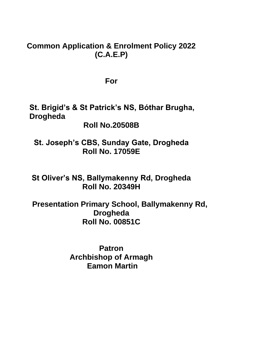# **Common Application & Enrolment Policy 2022 (C.A.E.P)**

**For**

**St. Brigid's & St Patrick's NS, Bóthar Brugha, Drogheda**

**Roll No.20508B**

**St. Joseph's CBS, Sunday Gate, Drogheda Roll No. 17059E**

**St Oliver's NS, Ballymakenny Rd, Drogheda Roll No. 20349H**

 **Presentation Primary School, Ballymakenny Rd, Drogheda Roll No. 00851C**

> **Patron Archbishop of Armagh Eamon Martin**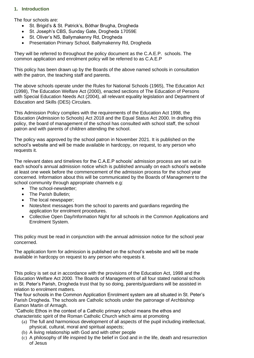## **1. Introduction**

The four schools are:

- St. Brigid's & St. Patrick's, Bóthar Brugha, Drogheda
- St. Joseph's CBS, Sunday Gate, Drogheda 17059E
- St. Oliver's NS, Ballymakenny Rd, Drogheda
- Presentation Primary School, Ballymakenny Rd, Drogheda

They will be referred to throughout the policy document as the C.A.E.P. schools. The common application and enrolment policy will be referred to as C.A.E.P

This policy has been drawn up by the Boards of the above named schools in consultation with the patron, the teaching staff and parents.

The above schools operate under the Rules for National Schools (1965), The Education Act (1998), The Education Welfare Act (2000), enacted sections of The Education of Persons with Special Education Needs Act (2004), all relevant equality legislation and Department of Education and Skills (DES) Circulars.

This Admission Policy complies with the requirements of the Education Act 1998, the Education (Admission to Schools) Act 2018 and the Equal Status Act 2000. In drafting this policy, the board of management of the school has consulted with school staff, the school patron and with parents of children attending the school.

The policy was approved by the school patron in November 2021. It is published on the school's website and will be made available in hardcopy, on request, to any person who requests it.

The relevant dates and timelines for the C.A.E.P schools' admission process are set out in each school's annual admission notice which is published annually on each school's website at least one week before the commencement of the admission process for the school year concerned. Information about this will be communicated by the Boards of Management to the school community through appropriate channels e.g:

- The school-newsletter;
- The Parish Bulletin;
- The local newspaper;
- Notes/text messages from the school to parents and guardians regarding the application for enrolment procedures.
- Collective Open Day/Information Night for all schools in the Common Applications and Enrolment System.

This policy must be read in conjunction with the annual admission notice for the school year concerned.

The application form for admission is published on the school's website and will be made available in hardcopy on request to any person who requests it.

This policy is set out in accordance with the provisions of the Education Act, 1998 and the Education Welfare Act 2000. The Boards of Managements of all four stated national schools in St. Peter's Parish, Drogheda trust that by so doing, parents/guardians will be assisted in relation to enrolment matters.

The four schools in the Common Application Enrolment system are all situated in St. Peter's Parish Drogheda. The schools are Catholic schools under the patronage of Archbishop Eamon Martin of Armagh.

"Catholic Ethos in the context of a Catholic primary school means the ethos and characteristic spirit of the Roman Catholic Church which aims at promoting

- (a) The full and harmonious development of all aspects of the pupil including intellectual, physical, cultural, moral and spiritual aspects;
- (b) A living relationship with God and with other people
- (c) A philosophy of life inspired by the belief in God and in the life, death and resurrection of Jesus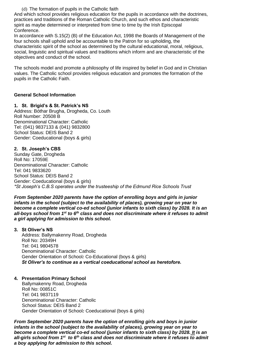(d) The formation of pupils in the Catholic faith

And which school provides religious education for the pupils in accordance with the doctrines, practices and traditions of the Roman Catholic Church, and such ethos and characteristic spirit as maybe determined or interpreted from time to time by the Irish Episcopal Conference.

In accordance with S.15(2) (B) of the Education Act, 1998 the Boards of Management of the four schools shall uphold and be accountable to the Patron for so upholding, the characteristic spirit of the school as determined by the cultural educational, moral, religious, social, linguistic and spiritual values and traditions which inform and are characteristic of the objectives and conduct of the school.

The schools model and promote a philosophy of life inspired by belief in God and in Christian values. The Catholic school provides religious education and promotes the formation of the pupils in the Catholic Faith.

## **General School Information**

## **1. St. Brigid's & St. Patrick's NS**

Address: Bóthar Brugha, Drogheda, Co. Louth Roll Number: 20508 B Denominational Character: Catholic Tel: (041) 9837133 & (041) 9832800 School Status: DEIS Band 2 Gender: Coeducational (boys & girls)

## **2. St. Joseph's CBS**

Sunday Gate, Drogheda Roll No: 17059E Denominational Character: Catholic Tel: 041 9833620 School Status: DEIS Band 2 Gender: Coeducational (boys & girls) *\*St Joseph's C.B.S operates under the trusteeship of the Edmund Rice Schools Trust*

*From September 2020 parents have the option of enrolling boys and girls in junior infants in the school (subject to the availability of places), growing year on year to become a complete vertical co-ed school (junior infants to sixth class) by 2028. It is an all-boys school from 1st to 6th class and does not discriminate where it refuses to admit a girl applying for admission to this school.*

#### **3. St Oliver's NS**

Address: Ballymakenny Road, Drogheda Roll No: 20349H Tel: 041 9804578 Denominational Character: Catholic Gender Orientation of School*:* Co-Educational (boys & girls) *St Oliver's to continue as a vertical coeducational school as heretofore.*

## **4. Presentation Primary School**

 Ballymakenny Road, Drogheda Roll No: 00851C Tel: 041 9837119 Denominational Character: Catholic School Status: DEIS Band 2 Gender Orientation of School*:* Coeducational (boys & girls)

*From September 2020 parents have the option of enrolling girls and boys in junior infants in the school (subject to the availability of places), growing year on year to become a complete vertical co-ed school (junior infants to sixth class) by 2028. It is an all-girls school from 1st to 6th class and does not discriminate where it refuses to admit a boy applying for admission to this school.*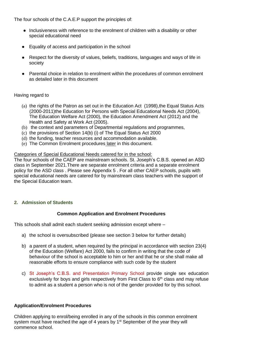The four schools of the C.A.E.P support the principles of:

- Inclusiveness with reference to the enrolment of children with a disability or other special educational need
- Equality of access and participation in the school
- Respect for the diversity of values, beliefs, traditions, languages and ways of life in society
- Parental choice in relation to enrolment within the procedures of common enrolment as detailed later in this document

## Having regard to

- (a) the rights of the Patron as set out in the Education Act (1998),the Equal Status Acts (2000-2011)the Education for Persons with Special Educational Needs Act (2004), The Education Welfare Act (2000), the Education Amendment Act (2012) and the Health and Safety at Work Act (2005).
- (b) the context and parameters of Departmental regulations and programmes,
- (c) the provisions of Section 14(b) (i) of The Equal Status Act 2000
- (d) the funding, teacher resources and accommodation available.
- (e) The Common Enrolment procedures later in this document.

## Categories of Special Educational Needs catered for in the school:

The four schools of the CAEP are mainstream schools. St. Joseph's C.B.S. opened an ASD class in September 2021.There are separate enrolment criteria and a separate enrolment policy for the ASD class . Please see Appendix 5 . For all other CAEP schools, pupils with special educational needs are catered for by mainstream class teachers with the support of the Special Education team.

## **2. Admission of Students**

## **Common Application and Enrolment Procedures**

This schools shall admit each student seeking admission except where –

- a) the school is oversubscribed (please see section 3 below for further details)
- b) a parent of a student, when required by the principal in accordance with section 23(4) of the Education (Welfare) Act 2000, fails to confirm in writing that the code of behaviour of the school is acceptable to him or her and that he or she shall make all reasonable efforts to ensure compliance with such code by the student
- c) St Joseph's C.B.S. and Presentation Primary School provide single sex education exclusively for boys and girls respectively from First Class to  $6<sup>th</sup>$  class and may refuse to admit as a student a person who is not of the gender provided for by this school.

## **Application/Enrolment Procedures**

Children applying to enrol/being enrolled in any of the schools in this common enrolment system must have reached the age of 4 years by  $1<sup>st</sup>$  September of the year they will commence school.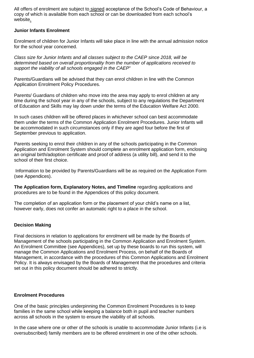All offers of enrolment are subject to signed acceptance of the School's Code of Behaviour, a copy of which is available from each school or can be downloaded from each school's website.

## **Junior Infants Enrolment**

Enrolment of children for Junior Infants will take place in line with the annual admission notice for the school year concerned.

*Class size for Junior Infants and all classes subject to the CAEP since 2018, will be determined based on overall proportionality from the number of applications received to support the viability of all schools engaged in the CAEP*"

Parents/Guardians will be advised that they can enrol children in line with the Common Application Enrolment Policy Procedures.

Parents/ Guardians of children who move into the area may apply to enrol children at any time during the school year in any of the schools, subject to any regulations the Department of Education and Skills may lay down under the terms of the Education Welfare Act 2000.

In such cases children will be offered places in whichever school can best accommodate them under the terms of the Common Application Enrolment Procedures. Junior Infants will be accommodated in such circumstances only if they are aged four before the first of September previous to application.

Parents seeking to enrol their children in any of the schools participating in the Common Application and Enrolment System should complete an enrolment application form, enclosing an original birth/adoption certificate and proof of address (a utility bill), and send it to the school of their first choice.

Information to be provided by Parents/Guardians will be as required on the Application Form (see Appendices).

**The Application form, Explanatory Notes, and Timeline** regarding applications and procedures are to be found in the Appendices of this policy document.

The completion of an application form or the placement of your child's name on a list, however early, does not confer an automatic right to a place in the school.

## **Decision Making**

Final decisions in relation to applications for enrolment will be made by the Boards of Management of the schools participating in the Common Application and Enrolment System. An Enrolment Committee (see Appendices), set up by these boards to run this system, will manage the Common Applications and Enrolment Process, on behalf of the Boards of Management, in accordance with the procedures of this Common Applications and Enrolment Policy. It is always envisaged by the Boards of Management that the procedures and criteria set out in this policy document should be adhered to strictly.

## **Enrolment Procedures**

One of the basic principles underpinning the Common Enrolment Procedures is to keep families in the same school while keeping a balance both in pupil and teacher numbers across all schools in the system to ensure the viability of all schools.

In the case where one or other of the schools is unable to accommodate Junior Infants (i.e is oversubscribed) family members are to be offered enrolment in one of the other schools.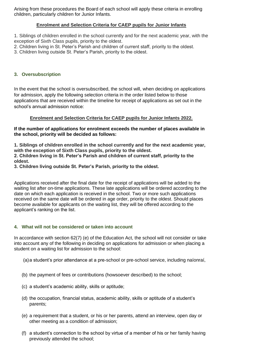Arising from these procedures the Board of each school will apply these criteria in enrolling children, particularly children for Junior Infants.

## **Enrolment and Selection Criteria for CAEP pupils for Junior Infants**

1. Siblings of children enrolled in the school currently and for the next academic year, with the exception of Sixth Class pupils, priority to the oldest.

- 2. Children living in St. Peter's Parish and children of current staff, priority to the oldest.
- 3. Children living outside St. Peter's Parish, priority to the oldest.

## **3. Oversubscription**

In the event that the school is oversubscribed, the school will, when deciding on applications for admission, apply the following selection criteria in the order listed below to those applications that are received within the timeline for receipt of applications as set out in the school's annual admission notice:

#### **Enrolment and Selection Criteria for CAEP pupils for Junior Infants 2022.**

#### **If the number of applications for enrolment exceeds the number of places available in the school, priority will be decided as follows:**

**1. Siblings of children enrolled in the school currently and for the next academic year, with the exception of Sixth Class pupils, priority to the oldest. 2. Children living in St. Peter's Parish and children of current staff, priority to the oldest.**

**3. Children living outside St. Peter's Parish, priority to the oldest.**

Applications received after the final date for the receipt of applications will be added to the waiting list after on-time applications. These late applications will be ordered according to the date on which each application is received in the school. Two or more such applications received on the same date will be ordered in age order, priority to the oldest. Should places become available for applicants on the waiting list, they will be offered according to the applicant's ranking on the list.

## **4. What will not be considered or taken into account**

In accordance with section 62(7) (e) of the Education Act, the school will not consider or take into account any of the following in deciding on applications for admission or when placing a student on a waiting list for admission to the school:

- (a)a student's prior attendance at a pre-school or pre-school service, including naíonraí,
- (b) the payment of fees or contributions (howsoever described) to the school;
- (c) a student's academic ability, skills or aptitude;
- (d) the occupation, financial status, academic ability, skills or aptitude of a student's parents;
- (e) a requirement that a student, or his or her parents, attend an interview, open day or other meeting as a condition of admission;
- (f) a student's connection to the school by virtue of a member of his or her family having previously attended the school;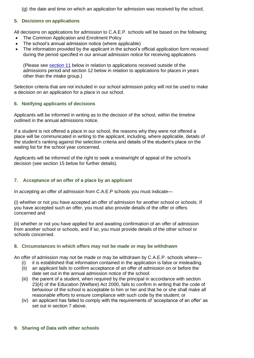(g) the date and time on which an application for admission was received by the school,

## **5. Decisions on applications**

All decisions on applications for admission to C.A.E.P. schools will be based on the following:

- The Common Application and Enrolment Policy
- The school's annual admission notice (where applicable)
- The information provided by the applicant in the school's official application form received during the period specified in our annual admission notice for receiving applications

(Please see [section 11](#page-7-0) below in relation to applications received outside of the admissions period and section 12 below in relation to applications for places in years other than the intake group.)

Selection criteria that are not included in our school admission policy will not be used to make a decision on an application for a place in our school.

## **6. Notifying applicants of decisions**

Applicants will be informed in writing as to the decision of the school, within the timeline outlined in the annual admissions notice.

If a student is not offered a place in our school, the reasons why they were not offered a place will be communicated in writing to the applicant, including, where applicable, details of the student's ranking against the selection criteria and details of the student's place on the waiting list for the school year concerned.

Applicants will be informed of the right to seek a review/right of appeal of the school's decision (see section 15 below for further details).

## **7. Acceptance of an offer of a place by an applicant**

In accepting an offer of admission from C.A.E.P schools you must indicate—

(i) whether or not you have accepted an offer of admission for another school or schools. If you have accepted such an offer, you must also provide details of the offer or offers concerned and

(ii) whether or not you have applied for and awaiting confirmation of an offer of admission from another school or schools, and if so, you must provide details of the other school or schools concerned.

## **8. Circumstances in which offers may not be made or may be withdrawn**

An offer of admission may not be made or may be withdrawn by C.A.E.P. schools where—

- (i) it is established that information contained in the application is false or misleading.
- (ii) an applicant fails to confirm acceptance of an offer of admission on or before the date set out in the annual admission notice of the school.
- (iii) the parent of a student, when required by the principal in accordance with section 23(4) of the Education (Welfare) Act 2000, fails to confirm in writing that the code of behaviour of the school is acceptable to him or her and that he or she shall make all reasonable efforts to ensure compliance with such code by the student; or
- (iv) an applicant has failed to comply with the requirements of 'acceptance of an offer' as set out in section 7 above.

## **9. Sharing of Data with other schools**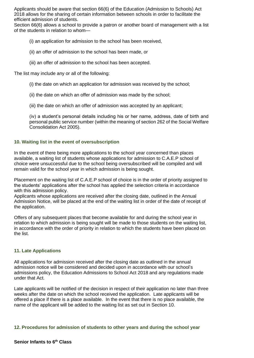Applicants should be aware that section 66(6) of the Education (Admission to Schools) Act 2018 allows for the sharing of certain information between schools in order to facilitate the efficient admission of students.

Section 66(6) allows a school to provide a patron or another board of management with a list of the students in relation to whom—

(i) an application for admission to the school has been received,

- (ii) an offer of admission to the school has been made, or
- (iii) an offer of admission to the school has been accepted.

The list may include any or all of the following:

- (i) the date on which an application for admission was received by the school;
- (ii) the date on which an offer of admission was made by the school;
- (iii) the date on which an offer of admission was accepted by an applicant;

(iv) a student's personal details including his or her name, address, date of birth and personal public service number (within the meaning of section 262 of the Social Welfare Consolidation Act 2005).

## **10. Waiting list in the event of oversubscription**

In the event of there being more applications to the school year concerned than places available, a waiting list of students whose applications for admission to C.A.E.P school of choice were unsuccessful due to the school being oversubscribed will be compiled and will remain valid for the school year in which admission is being sought.

Placement on the waiting list of C.A.E.P school of choice is in the order of priority assigned to the students' applications after the school has applied the selection criteria in accordance with this admission policy.

Applicants whose applications are received after the closing date, outlined in the Annual Admission Notice, will be placed at the end of the waiting list in order of the date of receipt of the application.

Offers of any subsequent places that become available for and during the school year in relation to which admission is being sought will be made to those students on the waiting list, in accordance with the order of priority in relation to which the students have been placed on the list.

## **11. Late Applications**

All applications for admission received after the closing date as outlined in the annual admission notice will be considered and decided upon in accordance with our school's admissions policy, the Education Admissions to School Act 2018 and any regulations made under that Act.

Late applicants will be notified of the decision in respect of their application no later than three weeks after the date on which the school received the application. Late applicants will be offered a place if there is a place available. In the event that there is no place available, the name of the applicant will be added to the waiting list as set out in Section 10.

#### <span id="page-7-0"></span>**12. Procedures for admission of students to other years and during the school year**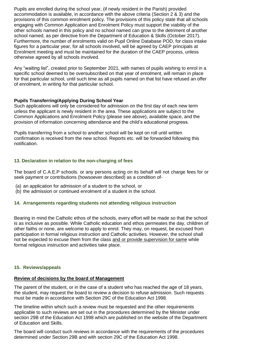Pupils are enrolled during the school year, (if newly resident in the Parish) provided accommodation is available, in accordance with the above criteria (Section 2 & 3) and the provisions of this common enrolment policy. The provisions of this policy state that all schools engaging with Common Application and Enrolment Policy must support the viability of the other schools named in this policy and no school named can grow to the detriment of another school named, as per directive from the Department of Education & Skills (October 2017). Furthermore, the number of enrolments valid on Pupil Online Database POD, for class intake figures for a particular year, for all schools involved, will be agreed by CAEP principals at Enrolment meeting and must be maintained for the duration of the CAEP process, unless otherwise agreed by all schools involved.

Any "waiting list", created prior to September 2021, with names of pupils wishing to enrol in a specific school deemed to be oversubscribed on that year of enrolment, will remain in place for that particular school, until such time as all pupils named on that list have refused an offer of enrolment, in writing for that particular school.

## **Pupils Transferring/Applying During School Year**

Such applications will only be considered for admission on the first day of each new term unless the applicant is newly resident in the area. These applications are subject to the Common Applications and Enrolment Policy (please see above), available space, and the provision of information concerning attendance and the child's educational progress.

Pupils transferring from a school to another school will be kept on roll until written confirmation is received from the new school. Reports etc. will be forwarded following this notification.

## **13. Declaration in relation to the non-charging of fees**

The board of C.A.E.P schools. or any persons acting on its behalf will not charge fees for or seek payment or contributions (howsoever described) as a condition of-

- (a) an application for admission of a student to the school, or
- (b) the admission or continued enrolment of a student in the school.

## **14. Arrangements regarding students not attending religious instruction**

Bearing in mind the Catholic ethos of the schools, every effort will be made so that the school is as inclusive as possible. While Catholic education and ethos permeates the day, children of other faiths or none, are welcome to apply to enrol. They may, on request, be excused from participation in formal religious instruction and Catholic activities. However, the school shall not be expected to excuse them from the class and or provide supervision for same while formal religious instruction and activities take place.

#### **15. Reviews/appeals**

## **Review of decisions by the board of Management**

The parent of the student, or in the case of a student who has reached the age of 18 years, the student, may request the board to review a decision to refuse admission. Such requests must be made in accordance with Section 29C of the Education Act 1998.

The timeline within which such a review must be requested and the other requirements applicable to such reviews are set out in the procedures determined by the Minister under section 29B of the Education Act 1998 which are published on the website of the Department of Education and Skills.

The board will conduct such reviews in accordance with the requirements of the procedures determined under Section 29B and with section 29C of the Education Act 1998.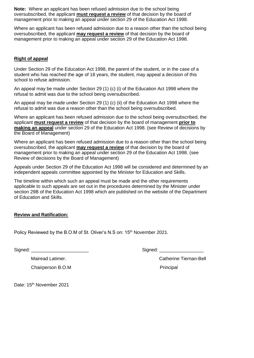**Note:** Where an applicant has been refused admission due to the school being oversubscribed, the applicant **must request a review** of that decision by the board of management prior to making an appeal under section 29 of the Education Act 1998.

Where an applicant has been refused admission due to a reason other than the school being oversubscribed, the applicant **may request a review** of that decision by the board of management prior to making an appeal under section 29 of the Education Act 1998.

## **Right of appeal**

Under Section 29 of the Education Act 1998, the parent of the student, or in the case of a student who has reached the age of 18 years, the student, may appeal a decision of this school to refuse admission.

An appeal may be made under Section 29 (1) (c) (i) of the Education Act 1998 where the refusal to admit was due to the school being oversubscribed.

An appeal may be made under Section 29 (1) (c) (ii) of the Education Act 1998 where the refusal to admit was due a reason other than the school being oversubscribed.

Where an applicant has been refused admission due to the school being oversubscribed, the applicant **must request a review** of that decision by the board of management **prior to making an appeal** under section 29 of the Education Act 1998. (see Review of decisions by the Board of Management)

Where an applicant has been refused admission due to a reason other than the school being oversubscribed, the applicant **may request a review** of that decision by the board of management prior to making an appeal under section 29 of the Education Act 1998. (see Review of decisions by the Board of Management)

Appeals under Section 29 of the Education Act 1998 will be considered and determined by an independent appeals committee appointed by the Minister for Education and Skills.

The timeline within which such an appeal must be made and the other requirements applicable to such appeals are set out in the procedures determined by the Minister under section 29B of the Education Act 1998 which are published on the website of the Department of Education and Skills.

## **Review and Ratification:**

Policy Reviewed by the B.O.M of St. Oliver's N.S on: 15<sup>th</sup> November 2021.

| Signed: |  |
|---------|--|
|         |  |

Signed:  $\Box$ 

Mairead Latimer. Catherine Tiernan-Bell

Chairperson B.O.M Principal

Date: 15<sup>th</sup> November 2021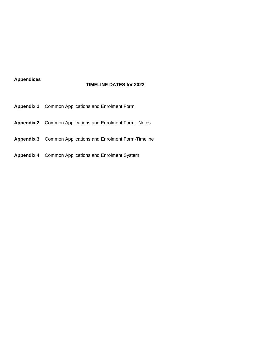## **Appendices**

## **TIMELINE DATES for 2022**

- **Appendix 1** Common Applications and Enrolment Form
- **Appendix 2** Common Applications and Enrolment Form –Notes
- **Appendix 3** Common Applications and Enrolment Form-Timeline
- **Appendix 4** Common Applications and Enrolment System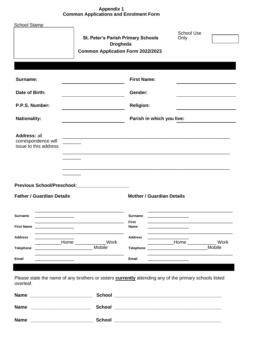## **Appendix 1 Common Applications and Enrolment Form**

| <b>School Stamp</b>                                                              | <b>St. Peter's Parish Primary Schools</b><br><b>Drogheda</b><br><b>Common Application Form 2022/2023</b>                                                                                                                                       |                                                                | <b>School Use</b><br>Only         |
|----------------------------------------------------------------------------------|------------------------------------------------------------------------------------------------------------------------------------------------------------------------------------------------------------------------------------------------|----------------------------------------------------------------|-----------------------------------|
| Surname:                                                                         |                                                                                                                                                                                                                                                | <b>First Name:</b>                                             |                                   |
| Date of Birth:                                                                   |                                                                                                                                                                                                                                                | Gender:                                                        |                                   |
| P.P.S. Number:                                                                   |                                                                                                                                                                                                                                                | <b>Religion:</b>                                               |                                   |
| <b>Nationality:</b>                                                              |                                                                                                                                                                                                                                                | Parish in which you live:                                      |                                   |
| Address: all<br>correspondence will<br>issue to this address                     | Previous School/Preschool:____________________                                                                                                                                                                                                 |                                                                |                                   |
| <b>Father / Guardian Details</b>                                                 |                                                                                                                                                                                                                                                | <b>Mother / Guardian Details</b>                               |                                   |
| Surname<br>the control of the control of the control of                          |                                                                                                                                                                                                                                                | <b>Surname</b><br>the control of the control of the control of |                                   |
| <b>First Name</b><br>the control of the control of the control of the control of |                                                                                                                                                                                                                                                | First<br>Name                                                  |                                   |
| <b>Address</b>                                                                   | <b>Work</b><br>____________Home ________                                                                                                                                                                                                       | <b>Address</b>                                                 | Work<br>____________Home ________ |
| <b>Telephone</b>                                                                 | Mobile<br><u> 1989 - Johann Harry Harry Harry Harry Harry Harry Harry Harry Harry Harry Harry Harry Harry Harry Harry Harry Harry Harry Harry Harry Harry Harry Harry Harry Harry Harry Harry Harry Harry Harry Harry Harry Harry Harry Ha</u> | <b>Telephone</b>                                               | Mobile                            |
| Email                                                                            |                                                                                                                                                                                                                                                | Email                                                          |                                   |
| overleaf.                                                                        | Please state the name of any brothers or sisters <b>currently</b> attending any of the primary schools listed                                                                                                                                  |                                                                |                                   |
|                                                                                  |                                                                                                                                                                                                                                                |                                                                |                                   |
| <b>Name</b>                                                                      | <b>School</b>                                                                                                                                                                                                                                  |                                                                |                                   |

**Name \_\_\_\_\_\_\_\_\_\_\_\_\_\_\_\_\_\_\_\_\_\_\_\_ School \_\_\_\_\_\_\_\_\_\_\_\_\_\_\_\_\_\_\_\_\_\_\_\_\_\_\_\_\_\_\_\_\_\_\_\_\_\_\_\_\_**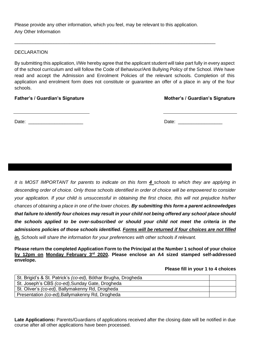Please provide any other information, which you feel, may be relevant to this application. Any Other Information

\_\_\_\_\_\_\_\_\_\_\_\_\_\_\_\_\_\_\_\_\_\_\_\_\_\_\_\_\_\_\_\_\_\_\_\_\_\_\_\_\_\_\_\_\_\_\_\_\_\_\_\_\_\_\_\_\_\_\_\_\_\_\_\_\_\_\_\_\_\_\_\_\_\_\_\_\_

## DECLARATION

By submitting this application, I/We hereby agree that the applicant student will take part fully in every aspect of the school curriculum and will follow the Code of Behaviour/Anti Bullying Policy of the School. I/We have read and accept the Admission and Enrolment Policies of the relevant schools. Completion of this application and enrolment form does not constitute or guarantee an offer of a place in any of the four schools.

## **Father's / Guardian's Signature Mother's / Guardian's Signature**

Date: \_\_\_\_\_\_\_\_\_\_\_\_\_\_\_\_\_\_\_\_\_ Date: \_\_\_\_\_\_\_\_\_\_\_\_\_\_\_\_\_

*It is MOST IMPORTANT for parents to indicate on this form 4 schools to which they are applying in descending order of choice. Only those schools identified in order of choice will be empowered to consider your application. If your child is unsuccessful in obtaining the first choice, this will not prejudice his/her chances of obtaining a place in one of the lower choices. By submitting this form a parent acknowledges that failure to identify four choices may result in your child not being offered any school place should the schools applied to be over-subscribed or should your child not meet the criteria in the admissions policies of those schools identified. Forms will be returned if four choices are not filled in. Schools will share the information for your preferences with other schools if relevant.*

**Please return the completed Application Form to the Principal at the Number 1 school of your choice by 12pm on Monday February 3rd 2020. Please enclose an A4 sized stamped self-addressed envelope.**

## **Please fill in your 1 to 4 choices**

| St. Brigid's & St. Patrick's (co-ed), Bóthar Brugha, Drogheda |  |
|---------------------------------------------------------------|--|
| St. Joseph's CBS (co-ed), Sunday Gate, Drogheda               |  |
| St. Oliver's (co-ed), Ballymakenny Rd, Drogheda               |  |
| Presentation (co-ed), Ballymakenny Rd, Drogheda               |  |

**Late Applications:** Parents/Guardians of applications received after the closing date will be notified in due course after all other applications have been processed.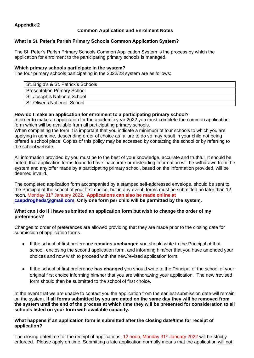## **Appendix 2**

## **Common Application and Enrolment Notes**

## **What is St. Peter's Parish Primary Schools Common Application System?**

The St. Peter's Parish Primary Schools Common Application System is the process by which the application for enrolment to the participating primary schools is managed.

## **Which primary schools participate in the system?**

The four primary schools participating in the 2022/23 system are as follows:

| St. Brigid's & St. Patrick's Schools |
|--------------------------------------|
| <b>Presentation Primary School</b>   |
| St. Joseph's National School         |
| St. Oliver's National School         |

## **How do I make an application for enrolment to a participating primary school?**

In order to make an application for the academic year 2022 you must complete the common application form which will be available from all participating primary schools.

When completing the form it is important that you indicate a minimum of four schools to which you are applying in genuine, descending order of choice as failure to do so may result in your child not being offered a school place. Copies of this policy may be accessed by contacting the school or by referring to the school website.

All information provided by you must be to the best of your knowledge, accurate and truthful. It should be noted, that application forms found to have inaccurate or misleading information will be withdrawn from the system and any offer made by a participating primary school, based on the information provided, will be deemed invalid.

The completed application form accompanied by a stamped self-addressed envelope, should be sent to the Principal at the school of your first choice, but in any event, forms must be submitted no later than 12 noon, Monday 31st January 2022**. Applications can also be made online at [caepdrogheda@gmail.com.](mailto:caepdrogheda@gmail.com) Only one form per child will be permitted by the system.**

#### **What can I do if I have submitted an application form but wish to change the order of my preferences?**

Changes to order of preferences are allowed providing that they are made prior to the closing date for submission of application forms.

- If the school of first preference **remains unchanged** you should write to the Principal of that school, enclosing the second application form, and informing him/her that you have amended your choices and now wish to proceed with the new/revised application form.
- If the school of first preference **has changed** you should write to the Principal of the school of your original first choice informing him/her that you are withdrawing your application. The new /revised form should then be submitted to the school of first choice.

In the event that we are unable to contact you the application from the earliest submission date will remain on the system. **If all forms submitted by you are dated on the same day they will be removed from the system until the end of the process at which time they will be presented for consideration to all schools listed on your form with available capacity.**

## **What happens if an application form is submitted after the closing date/time for receipt of application?**

The closing date/time for the receipt of applications, 12 noon, Monday 31<sup>st</sup> January 2022 will be strictly enforced. Please apply on time. Submitting a late application normally means that the application will not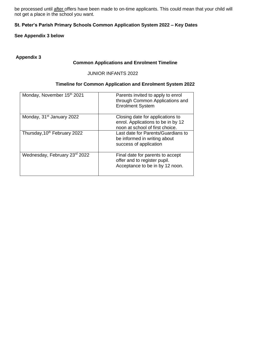be processed until after offers have been made to on-time applicants. This could mean that your child will not get a place in the school you want.

## **St. Peter's Parish Primary Schools Common Application System 2022 – Key Dates**

## **See Appendix 3 below**

## **Appendix 3**

#### **Common Applications and Enrolment Timeline**

## JUNIOR INFANTS 2022

## **Timeline for Common Application and Enrolment System 2022**

| Monday, November 15th 2021               | Parents invited to apply to enrol<br>through Common Applications and<br><b>Enrolment System</b>           |
|------------------------------------------|-----------------------------------------------------------------------------------------------------------|
| Monday, 31 <sup>st</sup> January 2022    | Closing date for applications to<br>enrol. Applications to be in by 12<br>noon at school of first choice. |
| Thursday, 10 <sup>th</sup> February 2022 | Last date for Parents/Guardians to<br>be informed in writing about<br>success of application              |
| Wednesday, February 23rd 2022            | Final date for parents to accept<br>offer and to register pupil.<br>Acceptance to be in by 12 noon.       |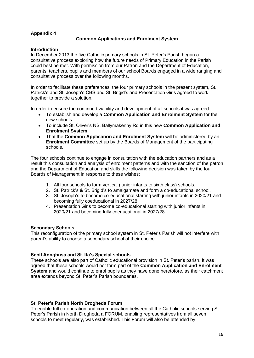## **Appendix 4**

## **Common Applications and Enrolment System**

## **Introduction**

In December 2013 the five Catholic primary schools in St. Peter's Parish began a consultative process exploring how the future needs of Primary Education in the Parish could best be met. With permission from our Patron and the Department of Education, parents, teachers, pupils and members of our school Boards engaged in a wide ranging and consultative process over the following months.

In order to facilitate these preferences, the four primary schools in the present system, St. Patrick's and St. Joseph's CBS and St. Brigid's and Presentation Girls agreed to work together to provide a solution.

In order to ensure the continued viability and development of all schools it was agreed:

- To establish and develop a **Common Application and Enrolment System** for the new schools.
- To include St. Oliver's NS, Ballymakenny Rd in this new **Common Application and Enrolment System**.
- That the **Common Application and Enrolment System** will be administered by an **Enrolment Committee** set up by the Boards of Management of the participating schools.

The four schools continue to engage in consultation with the education partners and as a result this consultation and analysis of enrolment patterns and with the sanction of the patron and the Department of Education and skills the following decision was taken by the four Boards of Management in response to these wishes:

- 1. All four schools to form vertical (junior infants to sixth class) schools.
- 2. St. Patrick's & St. Brigid's to amalgamate and form a co-educational school.
- 3. St. Joseph's to become co-educational starting with junior infants in 2020/21 and becoming fully coeducational in 2027/28
- 4. Presentation Girls to become co-educational starting with junior infants in 2020/21 and becoming fully coeducational in 2027/28

## **Secondary Schools**

This reconfiguration of the primary school system in St. Peter's Parish will not interfere with parent's ability to choose a secondary school of their choice.

## **Scoil Aonghusa and St. Ita's Special schools**

These schools are also part of Catholic educational provision in St. Peter's parish. It was agreed that these schools would not form part of the **Common Application and Enrolment System** and would continue to enrol pupils as they have done heretofore, as their catchment area extends beyond St. Peter's Parish boundaries.

## **St. Peter's Parish North Drogheda Forum**

To enable full co-operation and communication between all the Catholic schools serving St. Peter's Parish in North Drogheda a FORUM, enabling representatives from all seven schools to meet regularly, was established. This Forum will also be attended by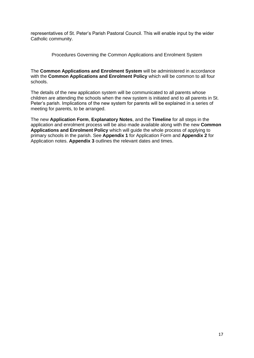representatives of St. Peter's Parish Pastoral Council. This will enable input by the wider Catholic community.

Procedures Governing the Common Applications and Enrolment System

The **Common Applications and Enrolment System** will be administered in accordance with the **Common Applications and Enrolment Policy** which will be common to all four schools.

The details of the new application system will be communicated to all parents whose children are attending the schools when the new system is initiated and to all parents in St. Peter's parish. Implications of the new system for parents will be explained in a series of meeting for parents, to be arranged.

The new **Application Form**, **Explanatory Notes**, and the **Timeline** for all steps in the application and enrolment process will be also made available along with the new **Common Applications and Enrolment Policy** which will guide the whole process of applying to primary schools in the parish. See **Appendix 1** for Application Form and **Appendix 2** for Application notes. **Appendix 3** outlines the relevant dates and times.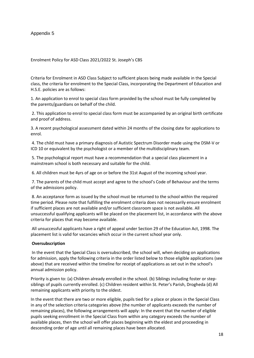## Appendix 5

#### Enrolment Policy for ASD Class 2021/2022 St. Joseph's CBS

Criteria for Enrolment in ASD Class Subject to sufficient places being made available in the Special class, the criteria for enrolment to the Special Class, incorporating the Department of Education and H.S.E. policies are as follows:

1. An application to enrol to special class form provided by the school must be fully completed by the parents/guardians on behalf of the child.

2. This application to enrol to special class form must be accompanied by an original birth certificate and proof of address.

3. A recent psychological assessment dated within 24 months of the closing date for applications to enrol.

4. The child must have a primary diagnosis of Autistic Spectrum Disorder made using the DSM-V or ICD 10 or equivalent by the psychologist or a member of the multidisciplinary team.

5. The psychological report must have a recommendation that a special class placement in a mainstream school is both necessary and suitable for the child.

6. All children must be 4yrs of age on or before the 31st August of the incoming school year.

7. The parents of the child must accept and agree to the school's Code of Behaviour and the terms of the admissions policy.

8. An acceptance form as issued by the school must be returned to the school within the required time period. Please note that fulfilling the enrolment criteria does not necessarily ensure enrolment if sufficient places are not available and/or sufficient classroom space is not available. All unsuccessful qualifying applicants will be placed on the placement list, in accordance with the above criteria for places that may become available.

All unsuccessful applicants have a right of appeal under Section 29 of the Education Act, 1998. The placement list is valid for vacancies which occur in the current school year only.

#### **Oversubscription**

In the event that the Special Class is oversubscribed, the school will, when deciding on applications for admission, apply the following criteria in the order listed below to those eligible applications (see above) that are received within the timeline for receipt of applications as set out in the school's annual admission policy.

Priority is given to: (a) Children already enrolled in the school. (b) Siblings including foster or stepsiblings of pupils currently enrolled. (c) Children resident within St. Peter's Parish, Drogheda (d) All remaining applicants with priority to the oldest.

In the event that there are two or more eligible, pupils tied for a place or places in the Special Class in any of the selection criteria categories above (the number of applicants exceeds the number of remaining places), the following arrangements will apply: In the event that the number of eligible pupils seeking enrollment in the Special Class from within any category exceeds the number of available places, then the school will offer places beginning with the eldest and proceeding in descending order of age until all remaining places have been allocated.